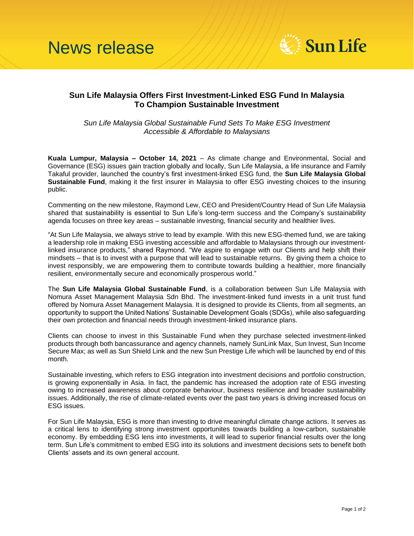

## **Sun Life Malaysia Offers First Investment-Linked ESG Fund In Malaysia To Champion Sustainable Investment**

*Sun Life Malaysia Global Sustainable Fund Sets To Make ESG Investment Accessible & Affordable to Malaysians* 

**Kuala Lumpur, Malaysia – October 14, 2021** – As climate change and Environmental, Social and Governance (ESG) issues gain traction globally and locally, Sun Life Malaysia, a life insurance and Family Takaful provider, launched the country's first investment-linked ESG fund, the **Sun Life Malaysia Global Sustainable Fund**, making it the first insurer in Malaysia to offer ESG investing choices to the insuring public.

Commenting on the new milestone, Raymond Lew, CEO and President/Country Head of Sun Life Malaysia shared that sustainability is essential to Sun Life's long-term success and the Company's sustainability agenda focuses on three key areas – sustainable investing, financial security and healthier lives.

"At Sun Life Malaysia, we always strive to lead by example. With this new ESG-themed fund, we are taking a leadership role in making ESG investing accessible and affordable to Malaysians through our investmentlinked insurance products," shared Raymond. "We aspire to engage with our Clients and help shift their mindsets – that is to invest with a purpose that will lead to sustainable returns. By giving them a choice to invest responsibly, we are empowering them to contribute towards building a healthier, more financially resilient, environmentally secure and economically prosperous world."

The **Sun Life Malaysia Global Sustainable Fund**, is a collaboration between Sun Life Malaysia with Nomura Asset Management Malaysia Sdn Bhd. The investment-linked fund invests in a unit trust fund offered by Nomura Asset Management Malaysia. It is designed to provide its Clients, from all segments, an opportunity to support the United Nations' Sustainable Development Goals (SDGs), while also safeguarding their own protection and financial needs through investment-linked insurance plans.

Clients can choose to invest in this Sustainable Fund when they purchase selected investment-linked products through both bancassurance and agency channels, namely SunLink Max, Sun Invest, Sun Income Secure Max; as well as Sun Shield Link and the new Sun Prestige Life which will be launched by end of this month.

Sustainable investing, which refers to ESG integration into investment decisions and portfolio construction, is growing exponentially in Asia. In fact, the pandemic has increased the adoption rate of ESG investing owing to increased awareness about corporate behaviour, business resilience and broader sustainability issues. Additionally, the rise of climate-related events over the past two years is driving increased focus on ESG issues.

For Sun Life Malaysia, ESG is more than investing to drive meaningful climate change actions. It serves as a critical lens to identifying strong investment opportunites towards building a low-carbon, sustainable economy. By embedding ESG lens into investments, it will lead to superior financial results over the long term. Sun Life's commitment to embed ESG into its solutions and investment decisions sets to benefit both Clients' assets and its own general account.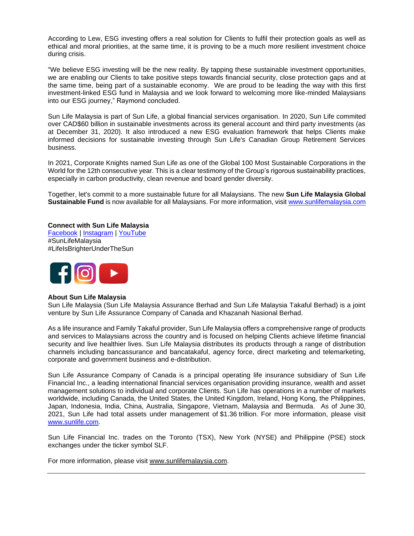According to Lew, ESG investing offers a real solution for Clients to fulfil their protection goals as well as ethical and moral priorities, at the same time, it is proving to be a much more resilient investment choice during crisis.

"We believe ESG investing will be the new reality. By tapping these sustainable investment opportunities, we are enabling our Clients to take positive steps towards financial security, close protection gaps and at the same time, being part of a sustainable economy. We are proud to be leading the way with this first investment-linked ESG fund in Malaysia and we look forward to welcoming more like-minded Malaysians into our ESG journey," Raymond concluded.

Sun Life Malaysia is part of Sun Life, a global financial services organisation. In 2020, Sun Life commited over CAD\$60 billion in sustainable investments across its general account and third party investments (as at December 31, 2020). It also introduced a new ESG evaluation framework that helps Clients make informed decisions for sustainable investing through Sun Life's Canadian Group Retirement Services business.

In 2021, Corporate Knights named Sun Life as one of the Global 100 Most Sustainable Corporations in the World for the 12th consecutive year. This is a clear testimony of the Group's rigorous sustainability practices, especially in carbon productivity, clean revenue and board gender diversity.

Together, let's commit to a more sustainable future for all Malaysians. The new **Sun Life Malaysia Global Sustainable Fund** is now available for all Malaysians. For more information, visi[t www.sunlifemalaysia.com](http://www.sunlifemalaysia.com/)

**Connect with Sun Life Malaysia** [Facebook](https://www.facebook.com/SunLifeMalaysia/) | [Instagram](https://www.instagram.com/sunlifemalaysia_my/?hl=en) | [YouTube](https://www.youtube.com/user/SunLifeMalaysia) #SunLifeMalaysia #LifeIsBrighterUnderTheSun



## **About Sun Life Malaysia**

Sun Life Malaysia (Sun Life Malaysia Assurance Berhad and Sun Life Malaysia Takaful Berhad) is a joint venture by Sun Life Assurance Company of Canada and Khazanah Nasional Berhad.

As a life insurance and Family Takaful provider, Sun Life Malaysia offers a comprehensive range of products and services to Malaysians across the country and is focused on helping Clients achieve lifetime financial security and live healthier lives. Sun Life Malaysia distributes its products through a range of distribution channels including bancassurance and bancatakaful, agency force, direct marketing and telemarketing, corporate and government business and e-distribution.

Sun Life Assurance Company of Canada is a principal operating life insurance subsidiary of Sun Life Financial Inc., a leading international financial services organisation providing insurance, wealth and asset management solutions to individual and corporate Clients. Sun Life has operations in a number of markets worldwide, including Canada, the United States, the United Kingdom, Ireland, Hong Kong, the Philippines, Japan, Indonesia, India, China, Australia, Singapore, Vietnam, Malaysia and Bermuda. As of June 30, 2021, Sun Life had total assets under management of \$1.36 trillion. For more information, please visit [www.sunlife.com.](http://www.sunlife.com/)

Sun Life Financial Inc. trades on the Toronto (TSX), New York (NYSE) and Philippine (PSE) stock exchanges under the ticker symbol SLF.

For more information, please visit [www.sunlifemalaysia.com.](http://www.sunlifemalaysia.com/)